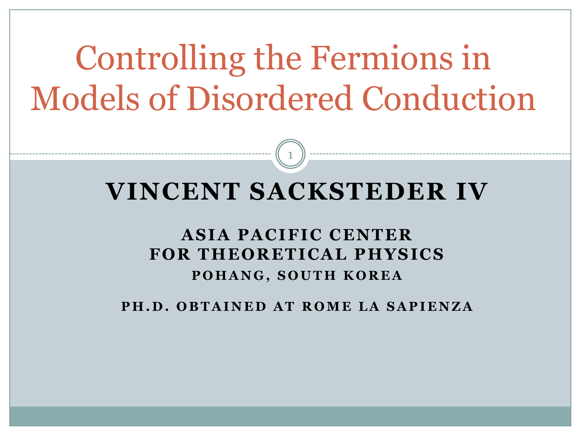# Controlling the Fermions in Models of Disordered Conduction

#### **VINCENT SACKSTEDER IV**

1

#### **A SIA PA CIFIC CENTER FOR THEORETICA L PHYSICS POHANG, SOUTH KOREA**

**PH.D. OBTAINED AT ROME LA SAPIENZA**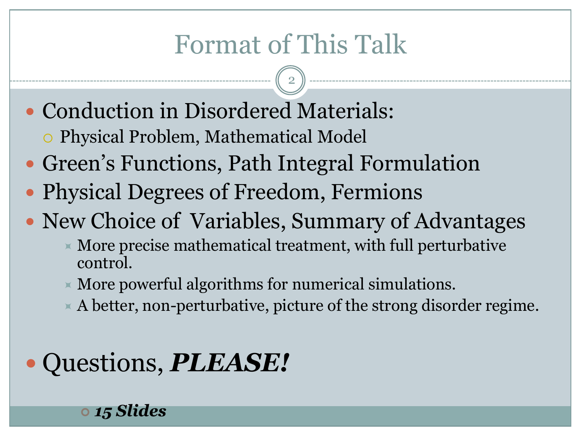### Format of This Talk

2

- Conduction in Disordered Materials:
	- Physical Problem, Mathematical Model
- Green's Functions, Path Integral Formulation
- Physical Degrees of Freedom, Fermions
- New Choice of Variables, Summary of Advantages
	- $\times$  More precise mathematical treatment, with full perturbative control.
	- $\times$  More powerful algorithms for numerical simulations.
	- $\times$  A better, non-perturbative, picture of the strong disorder regime.

### Questions, *PLEASE!*

*15 Slides*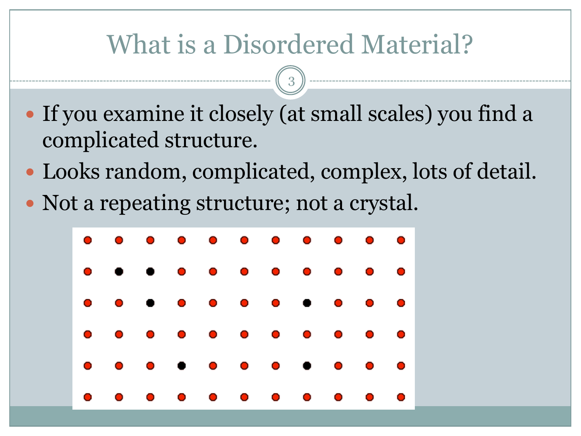#### What is a Disordered Material?

- If you examine it closely (at small scales) you find a complicated structure.
- Looks random, complicated, complex, lots of detail.
- Not a repeating structure; not a crystal.

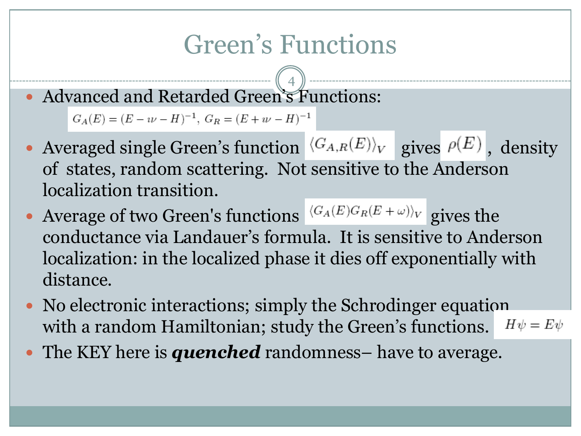### Green's Functions

4 Advanced and Retarded Green's Functions:

 $G_A(E) = (E - \imath \nu - H)^{-1}, \; G_R = (E + \imath \nu - H)^{-1}$ 

- Averaged single Green's function  $\langle G_{A,R}(E) \rangle_V$  gives  $\rho(E)$ , density of states, random scattering. Not sensitive to the Anderson localization transition.
- Average of two Green's functions  $\langle G_A(E)G_R(E+\omega)\rangle_V$  gives the conductance via Landauer's formula. It is sensitive to Anderson localization: in the localized phase it dies off exponentially with distance.
- No electronic interactions; simply the Schrodinger equation with a random Hamiltonian; study the Green's functions.  $H\psi = E\psi$
- The KEY here is **quenched** randomness– have to average.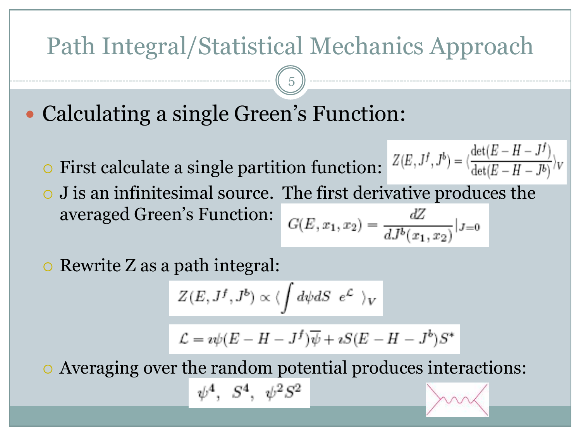#### Path Integral/Statistical Mechanics Approach

5

- Calculating a single Green's Function:
	- $\circ$  First calculate a single partition function:  $Z(E, J^f, J^b) = \langle \frac{\det(E H J^f)}{\det(E H J^b)} \rangle$
	- J is an infinitesimal source. The first derivative produces the averaged Green's Function:  $G(E, x_1, x_2) = \frac{dZ}{dJ^b(x_1, x_2)}|_{J=0}$

 $\circ$  Rewrite Z as a path integral:

$$
Z(E,J^f,J^b) \propto \langle \int d\psi dS \ e^{\mathcal{L}} \ \rangle_V
$$

$$
\mathcal{L}=\imath\psi(E-H-J^f)\overline{\psi}+\imath S(E-H-J^b)S^*
$$

Averaging over the random potential produces interactions:

$$
\psi^4,~~S^4,~~\psi^2 S^2
$$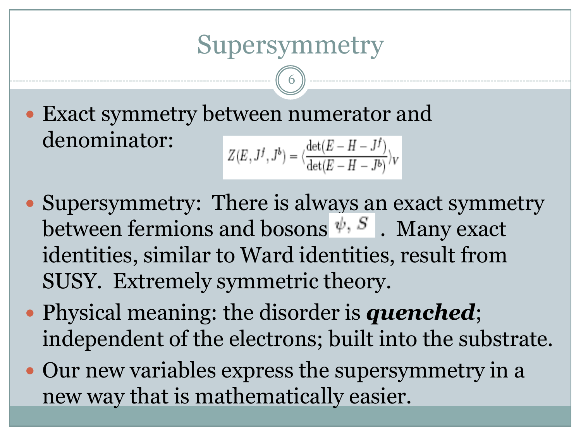#### Supersymmetry

6

 Exact symmetry between numerator and denominator:  $Z(E, J^f, J^b) = \langle \frac{\det(E - H - J^f)}{\det(E - H - J^b)} \rangle_V$ 

- Supersymmetry: There is always an exact symmetry between fermions and bosons  $\psi$ ,  $S$ . Many exact identities, similar to Ward identities, result from SUSY. Extremely symmetric theory.
- Physical meaning: the disorder is *quenched*; independent of the electrons; built into the substrate.
- Our new variables express the supersymmetry in a new way that is mathematically easier.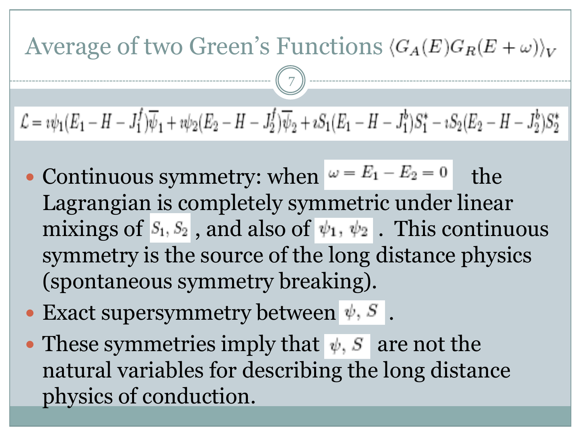

- Continuous symmetry: when  $\omega = E_1 E_2 = 0$  the Lagrangian is completely symmetric under linear mixings of  $S_1, S_2$ , and also of  $\psi_1, \psi_2$ . This continuous symmetry is the source of the long distance physics (spontaneous symmetry breaking).
- Exact supersymmetry between  $\psi$ ,  $S$ .
- These symmetries imply that  $\psi$ , *S* are not the natural variables for describing the long distance physics of conduction.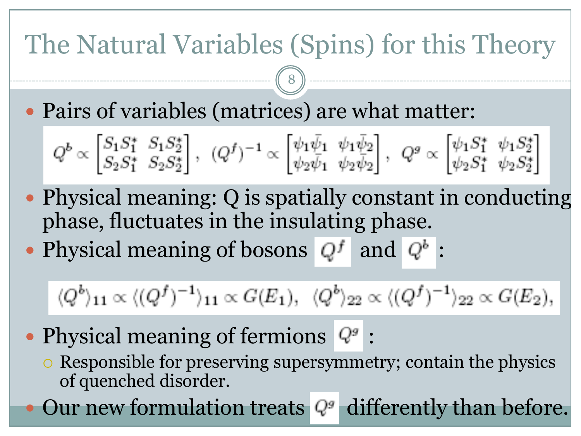## The Natural Variables (Spins) for this Theory

8

Pairs of variables (matrices) are what matter:

$$
Q^b \propto \begin{bmatrix} S_1 S_1^* & S_1 S_2^* \\ S_2 S_1^* & S_2 S_2^* \end{bmatrix}, \ \ (Q^f)^{-1} \propto \begin{bmatrix} \psi_1 \bar{\psi}_1 & \psi_1 \bar{\psi}_2 \\ \psi_2 \bar{\psi}_1 & \psi_2 \bar{\psi}_2 \end{bmatrix}, \ \ Q^g \propto \begin{bmatrix} \psi_1 S_1^* & \psi_1 S_2^* \\ \psi_2 S_1^* & \psi_2 S_2^* \end{bmatrix}
$$

- Physical meaning: Q is spatially constant in conducting phase, fluctuates in the insulating phase.
- Physical meaning of bosons  $Q^f$  and  $Q^b$ :

 $\langle Q^b \rangle_{11} \propto \langle (Q^f)^{-1} \rangle_{11} \propto G(E_1), \quad \langle Q^b \rangle_{22} \propto \langle (Q^f)^{-1} \rangle_{22} \propto G(E_2),$ 

- Physical meaning of fermions  $Q^g$ :
	- Responsible for preserving supersymmetry; contain the physics of quenched disorder.

Our new formulation treats  $Q^g$  differently than before.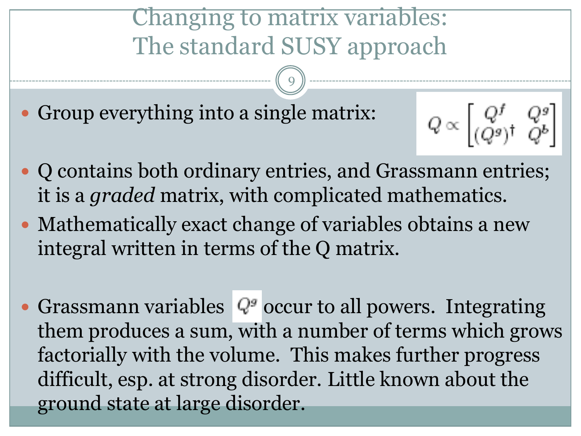#### Changing to matrix variables: The standard SUSY approach

9

Group everything into a single matrix:

$$
Q \propto \begin{bmatrix} Q^f & Q^g \\ (Q^g)^\dagger & Q^b \end{bmatrix}
$$

- Q contains both ordinary entries, and Grassmann entries; it is a *graded* matrix, with complicated mathematics.
- Mathematically exact change of variables obtains a new integral written in terms of the Q matrix.
- Grassmann variables  $Q^g$  occur to all powers. Integrating them produces a sum, with a number of terms which grows factorially with the volume. This makes further progress difficult, esp. at strong disorder. Little known about the ground state at large disorder.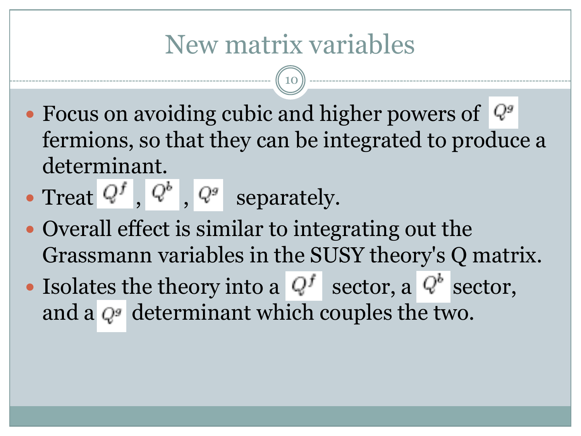#### New matrix variables

- Focus on avoiding cubic and higher powers of  $\mathbb{Q}^g$ fermions, so that they can be integrated to produce a determinant.
- Treat  $Q^f$ ,  $Q^b$ ,  $Q^g$  separately.
- Overall effect is similar to integrating out the Grassmann variables in the SUSY theory's Q matrix.
- Isolates the theory into a  $Q^f$  sector, a  $Q^b$  sector, and a  $Q^g$  determinant which couples the two.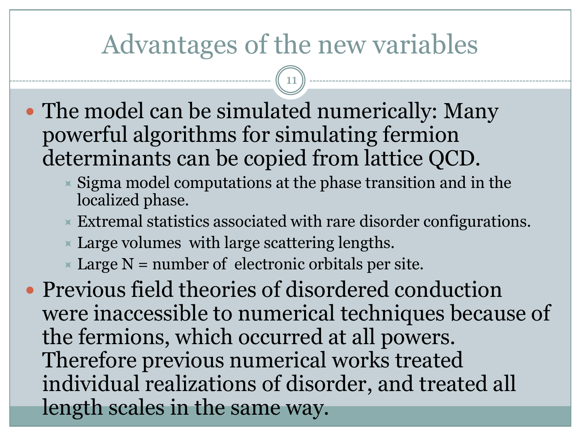#### Advantages of the new variables

11

- The model can be simulated numerically: Many powerful algorithms for simulating fermion determinants can be copied from lattice QCD.
	- Sigma model computations at the phase transition and in the localized phase.
	- $\times$  Extremal statistics associated with rare disorder configurations.
	- $\times$  Large volumes with large scattering lengths.
	- $\times$  Large N = number of electronic orbitals per site.

 Previous field theories of disordered conduction were inaccessible to numerical techniques because of the fermions, which occurred at all powers. Therefore previous numerical works treated individual realizations of disorder, and treated all length scales in the same way.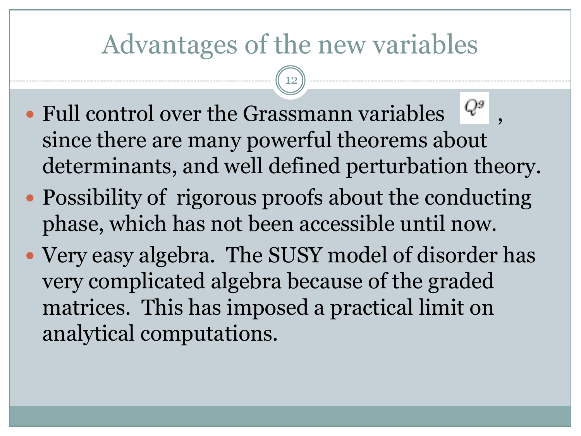#### Advantages of the new variables

- Full control over the Grassmann variables  $\begin{bmatrix} Q^g \end{bmatrix}$ , since there are many powerful theorems about determinants, and well defined perturbation theory.
- Possibility of rigorous proofs about the conducting phase, which has not been accessible until now.
- Very easy algebra. The SUSY model of disorder has very complicated algebra because of the graded matrices. This has imposed a practical limit on analytical computations.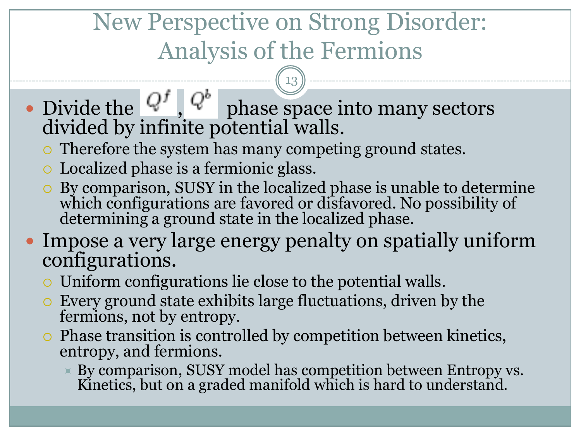### New Perspective on Strong Disorder: Analysis of the Fermions

13

#### • Divide the  $Q^f$ ,  $Q^b$  phase space into many sectors divided by infinite potential walls.

- Therefore the system has many competing ground states.
- Localized phase is a fermionic glass.
- By comparison, SUSY in the localized phase is unable to determine which configurations are favored or disfavored. No possibility of determining a ground state in the localized phase.
- Impose a very large energy penalty on spatially uniform configurations.
	- Uniform configurations lie close to the potential walls.
	- Every ground state exhibits large fluctuations, driven by the fermions, not by entropy.
	- Phase transition is controlled by competition between kinetics, entropy, and fermions.
		- By comparison, SUSY model has competition between Entropy vs. Kinetics, but on a graded manifold which is hard to understand.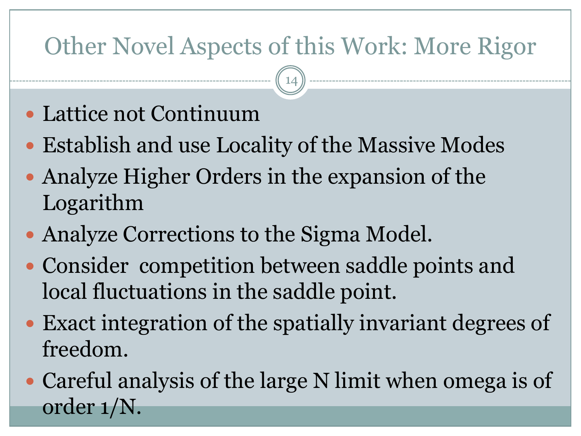#### Other Novel Aspects of this Work: More Rigor

- Lattice not Continuum
- Establish and use Locality of the Massive Modes
- Analyze Higher Orders in the expansion of the Logarithm
- Analyze Corrections to the Sigma Model.
- Consider competition between saddle points and local fluctuations in the saddle point.
- Exact integration of the spatially invariant degrees of freedom.
- Careful analysis of the large N limit when omega is of order 1/N.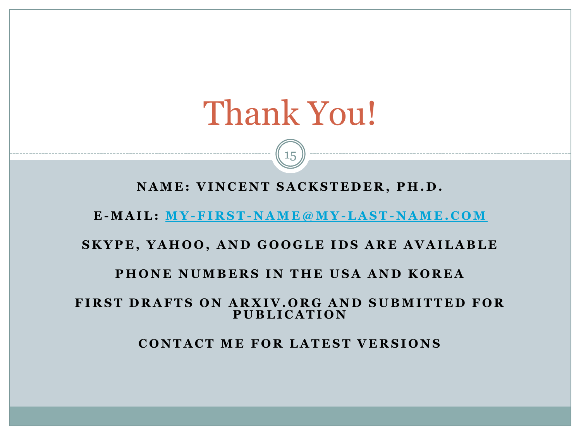## Thank You!

**N A M E : V I N C E N T S A C K S T E D E R , P H . D .**

15

**E -M A I L : [M Y](mailto:My-First-Name@mY-Last-Name.com) [-F I R S T](mailto:My-First-Name@mY-Last-Name.com) [-](mailto:My-First-Name@mY-Last-Name.com) [N A M E @ M Y](mailto:My-First-Name@mY-Last-Name.com) [-L A S T](mailto:My-First-Name@mY-Last-Name.com) [-](mailto:My-First-Name@mY-Last-Name.com) [N A M E . C O M](mailto:My-First-Name@mY-Last-Name.com)**

#### **SKYPE, YAHOO, AND GOOGLE IDS ARE AVAILABLE**

#### **PHONE NUMBERS IN THE USA AND KOREA**

#### **FIRST DRAFTS ON ARXIV.ORG AND SUBMITTED FOR P U B L I C A T I O N**

**CONTACT ME FOR LATEST VERSIONS**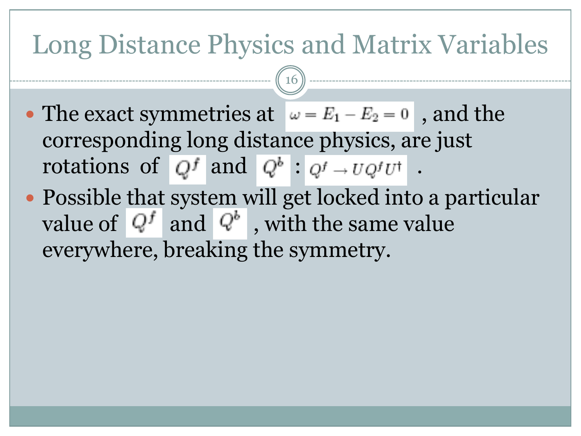#### Long Distance Physics and Matrix Variables

- The exact symmetries at  $\omega = E_1 E_2 = 0$ , and the corresponding long distance physics, are just rotations of  $Q^f$  and  $Q^b$  :  $Q^f \rightarrow U Q^f U^{\dagger}$ .
- Possible that system will get locked into a particular value of  $Q^f$  and  $Q^b$ , with the same value everywhere, breaking the symmetry.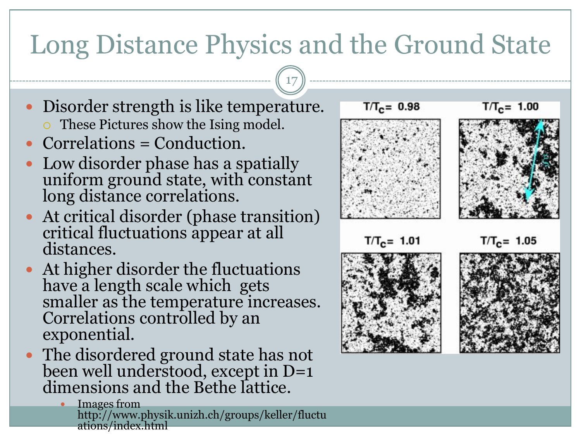### Long Distance Physics and the Ground State

- Disorder strength is like temperature. • These Pictures show the Ising model.
- Correlations = Conduction.
- Low disorder phase has a spatially uniform ground state, with constant long distance correlations.
- At critical disorder (phase transition) critical fluctuations appear at all distances.
- At higher disorder the fluctuations have a length scale which gets smaller as the temperature increases. Correlations controlled by an exponential.
- The disordered ground state has not been well understood, except in D=1 dimensions and the Bethe lattice.
	- Images from http://www.physik.unizh.ch/groups/keller/fluctu ations/index.html

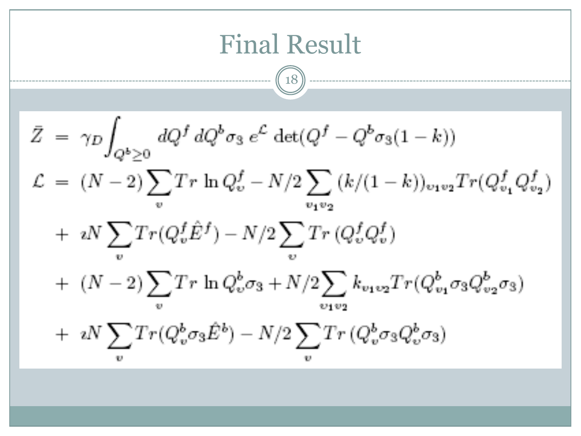$$
\begin{array}{|l|l|}\n\hline\n\text{Final Result} \\
\hline\n\mathcal{Z} & = \gamma_D \int_{Q^b \geq 0} dQ^f \, dQ^b \sigma_3 \, e^{\mathcal{L}} \, \det(Q^f - Q^b \sigma_3 (1 - k)) \\
\mathcal{L} & = (N - 2) \sum_v Tr \, \ln Q_v^f - N/2 \sum_{v_1 v_2} (k/(1 - k))_{v_1 v_2} Tr(Q_{v_1}^f Q_{v_2}^f) \\
& + \, \imath N \sum_v Tr(Q_v^f \hat{E}^f) - N/2 \sum_v Tr(Q_v^f Q_v^f) \\
& + \, (N - 2) \sum_v Tr \, \ln Q_v^b \sigma_3 + N/2 \sum_{v_1 v_2} k_{v_1 v_2} Tr(Q_{v_1}^b \sigma_3 Q_{v_2}^b \sigma_3) \\
& + \, \imath N \sum_v Tr(Q_v^b \sigma_3 \hat{E}^b) - N/2 \sum_v Tr(Q_v^b \sigma_3 Q_v^b \sigma_3)\n\end{array}
$$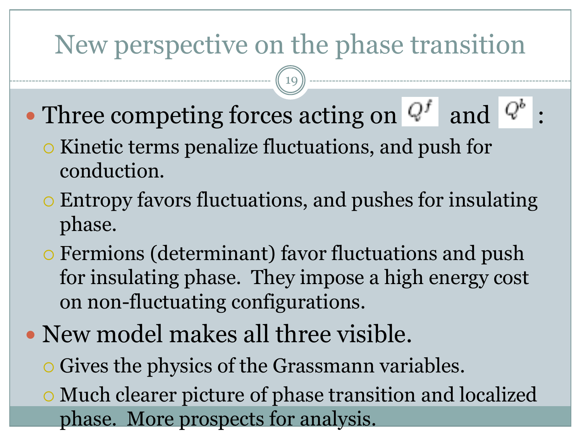#### New perspective on the phase transition

- Three competing forces acting on  $Q^f$  and  $Q^b$ 
	- o Kinetic terms penalize fluctuations, and push for conduction.
	- Entropy favors fluctuations, and pushes for insulating phase.
	- Fermions (determinant) favor fluctuations and push for insulating phase. They impose a high energy cost on non-fluctuating configurations.
- New model makes all three visible.
	- Gives the physics of the Grassmann variables.
	- Much clearer picture of phase transition and localized phase. More prospects for analysis.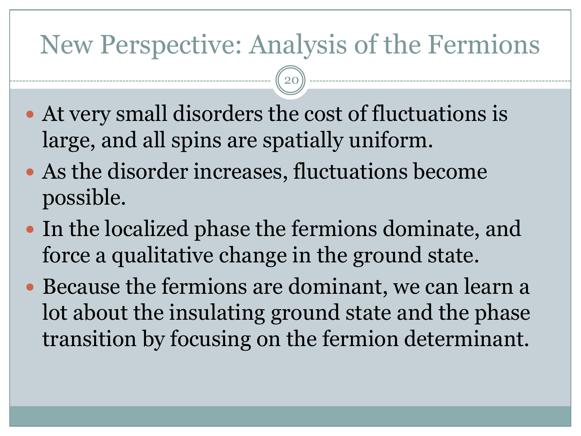#### New Perspective: Analysis of the Fermions

- At very small disorders the cost of fluctuations is large, and all spins are spatially uniform.
- As the disorder increases, fluctuations become possible.
- In the localized phase the fermions dominate, and force a qualitative change in the ground state.
- Because the fermions are dominant, we can learn a lot about the insulating ground state and the phase transition by focusing on the fermion determinant.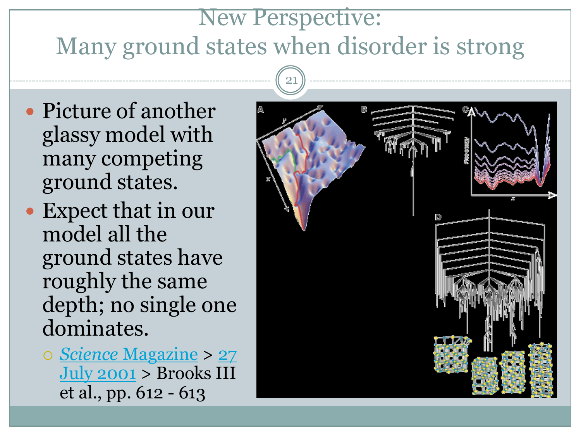#### New Perspective: Many ground states when disorder is strong

- Picture of another glassy model with many competing ground states.
- Expect that in our model all the ground states have roughly the same depth; no single one dominates.
	- *[Science](http://www.sciencemag.org/magazine.dtl)* [Magazine](http://www.sciencemag.org/magazine.dtl) > [27](http://www.sciencemag.org/content/vol293/issue5530/index.dtl)  [July 2001](http://www.sciencemag.org/content/vol293/issue5530/index.dtl) > Brooks III et al., pp. 612 - 613

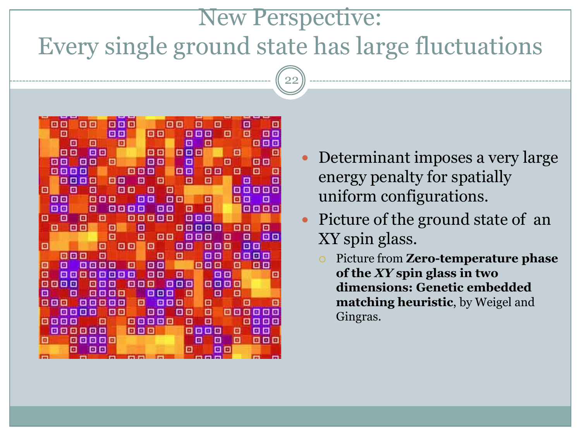#### New Perspective: Every single ground state has large fluctuations



- Determinant imposes a very large energy penalty for spatially uniform configurations.
- Picture of the ground state of an XY spin glass.
	- Picture from **Zero-temperature phase of the** *XY* **spin glass in two dimensions: Genetic embedded matching heuristic**, by Weigel and Gingras.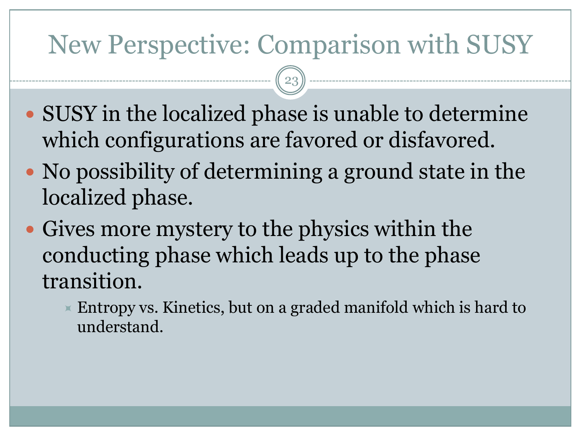### New Perspective: Comparison with SUSY

- SUSY in the localized phase is unable to determine which configurations are favored or disfavored.
- No possibility of determining a ground state in the localized phase.
- Gives more mystery to the physics within the conducting phase which leads up to the phase transition.
	- $\triangleright$  Entropy vs. Kinetics, but on a graded manifold which is hard to understand.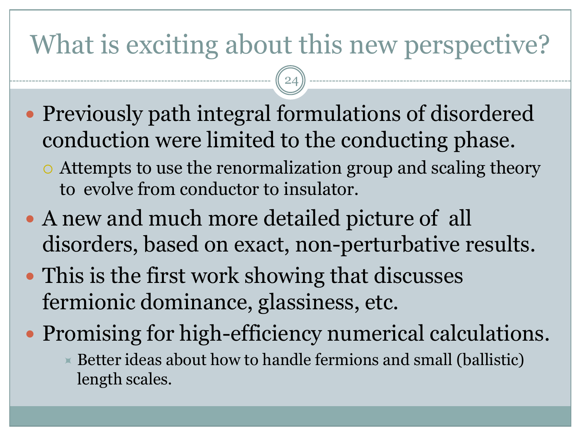## What is exciting about this new perspective?

- Previously path integral formulations of disordered conduction were limited to the conducting phase.
	- Attempts to use the renormalization group and scaling theory to evolve from conductor to insulator.
- A new and much more detailed picture of all disorders, based on exact, non-perturbative results.
- This is the first work showing that discusses fermionic dominance, glassiness, etc.
- Promising for high-efficiency numerical calculations.
	- $\times$  Better ideas about how to handle fermions and small (ballistic) length scales.